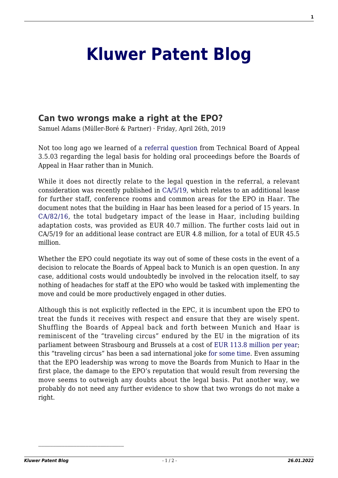## **[Kluwer Patent Blog](http://patentblog.kluweriplaw.com/)**

## **[Can two wrongs make a right at the EPO?](http://patentblog.kluweriplaw.com/2019/04/26/can-two-wrongs-make-a-right-at-the-epo/)**

Samuel Adams (Müller-Boré & Partner) · Friday, April 26th, 2019

Not too long ago we learned of a [referral question](http://patentblog.kluweriplaw.com/2019/03/01/the-haar-in-the-soup/) from Technical Board of Appeal 3.5.03 regarding the legal basis for holding oral proceedings before the Boards of Appeal in Haar rather than in Munich.

While it does not directly relate to the legal question in the referral, a relevant consideration was recently published in [CA/5/19,](https://www.epo.org/modules/epoweb/acdocument/epoweb2/373/en/CA-5-19_en.pdf) which relates to an additional lease for further staff, conference rooms and common areas for the EPO in Haar. The document notes that the building in Haar has been leased for a period of 15 years. In [CA/82/16](https://www.epo.org/modules/epoweb/acdocument/epoweb2/220/en/CA-82-16_en.pdf), the total budgetary impact of the lease in Haar, including building adaptation costs, was provided as EUR 40.7 million. The further costs laid out in CA/5/19 for an additional lease contract are EUR 4.8 million, for a total of EUR 45.5 million.

Whether the EPO could negotiate its way out of some of these costs in the event of a decision to relocate the Boards of Appeal back to Munich is an open question. In any case, additional costs would undoubtedly be involved in the relocation itself, to say nothing of headaches for staff at the EPO who would be tasked with implementing the move and could be more productively engaged in other duties.

Although this is not explicitly reflected in the EPC, it is incumbent upon the EPO to treat the funds it receives with respect and ensure that they are wisely spent. Shuffling the Boards of Appeal back and forth between Munich and Haar is reminiscent of the "traveling circus" endured by the EU in the migration of its parliament between Strasbourg and Brussels at a cost of [EUR 113.8 million per year](https://eufactcheck.eu/factcheck/mostly-false-travelling-circus-of-the-european-parliament-from-brussels-to-strasbourg-costs-200-million-euros-annually/); this "traveling circus" has been a sad international joke [for some time.](https://www.nytimes.com/2011/06/29/world/europe/29strasbourg.html?module=inline) Even assuming that the EPO leadership was wrong to move the Boards from Munich to Haar in the first place, the damage to the EPO's reputation that would result from reversing the move seems to outweigh any doubts about the legal basis. Put another way, we probably do not need any further evidence to show that two wrongs do not make a right.